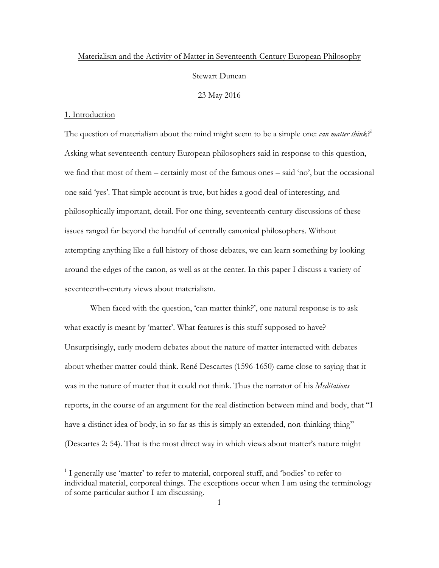## Materialism and the Activity of Matter in Seventeenth-Century European Philosophy

Stewart Duncan

23 May 2016

### 1. Introduction

The question of materialism about the mind might seem to be a simple one: *can matter think?*<sup>1</sup> Asking what seventeenth-century European philosophers said in response to this question, we find that most of them – certainly most of the famous ones – said 'no', but the occasional one said 'yes'. That simple account is true, but hides a good deal of interesting, and philosophically important, detail. For one thing, seventeenth-century discussions of these issues ranged far beyond the handful of centrally canonical philosophers. Without attempting anything like a full history of those debates, we can learn something by looking around the edges of the canon, as well as at the center. In this paper I discuss a variety of seventeenth-century views about materialism.

When faced with the question, 'can matter think?', one natural response is to ask what exactly is meant by 'matter'. What features is this stuff supposed to have? Unsurprisingly, early modern debates about the nature of matter interacted with debates about whether matter could think. René Descartes (1596-1650) came close to saying that it was in the nature of matter that it could not think. Thus the narrator of his *Meditations* reports, in the course of an argument for the real distinction between mind and body, that "I have a distinct idea of body, in so far as this is simply an extended, non-thinking thing" (Descartes 2: 54). That is the most direct way in which views about matter's nature might

 $1$  I generally use 'matter' to refer to material, corporeal stuff, and 'bodies' to refer to individual material, corporeal things. The exceptions occur when I am using the terminology of some particular author I am discussing.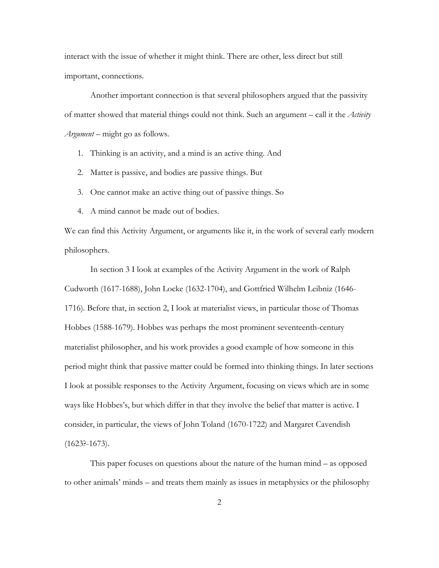interact with the issue of whether it might think. There are other, less direct but still important, connections.

Another important connection is that several philosophers argued that the passivity of matter showed that material things could not think. Such an argument – call it the *Activity Argument* – might go as follows.

- 1. Thinking is an activity, and a mind is an active thing. And
- 2. Matter is passive, and bodies are passive things. But
- 3. One cannot make an active thing out of passive things. So
- 4. A mind cannot be made out of bodies.

We can find this Activity Argument, or arguments like it, in the work of several early modern philosophers.

In section 3 I look at examples of the Activity Argument in the work of Ralph Cudworth (1617-1688), John Locke (1632-1704), and Gottfried Wilhelm Leibniz (1646- 1716). Before that, in section 2, I look at materialist views, in particular those of Thomas Hobbes (1588-1679). Hobbes was perhaps the most prominent seventeenth-century materialist philosopher, and his work provides a good example of how someone in this period might think that passive matter could be formed into thinking things. In later sections I look at possible responses to the Activity Argument, focusing on views which are in some ways like Hobbes's, but which differ in that they involve the belief that matter is active. I consider, in particular, the views of John Toland (1670-1722) and Margaret Cavendish (1623?-1673).

This paper focuses on questions about the nature of the human mind – as opposed to other animals' minds – and treats them mainly as issues in metaphysics or the philosophy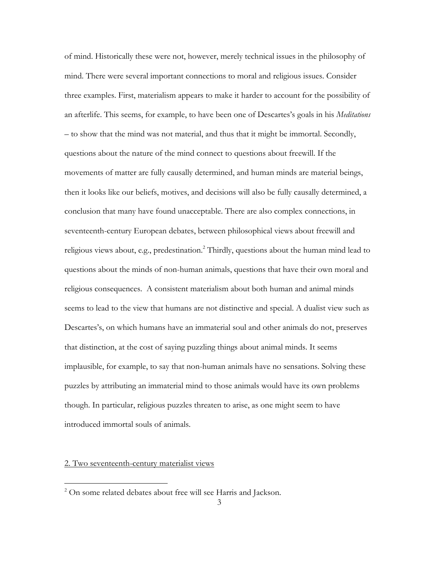of mind. Historically these were not, however, merely technical issues in the philosophy of mind. There were several important connections to moral and religious issues. Consider three examples. First, materialism appears to make it harder to account for the possibility of an afterlife. This seems, for example, to have been one of Descartes's goals in his *Meditations* – to show that the mind was not material, and thus that it might be immortal. Secondly, questions about the nature of the mind connect to questions about freewill. If the movements of matter are fully causally determined, and human minds are material beings, then it looks like our beliefs, motives, and decisions will also be fully causally determined, a conclusion that many have found unacceptable. There are also complex connections, in seventeenth-century European debates, between philosophical views about freewill and religious views about, e.g., predestination.<sup>2</sup> Thirdly, questions about the human mind lead to questions about the minds of non-human animals, questions that have their own moral and religious consequences. A consistent materialism about both human and animal minds seems to lead to the view that humans are not distinctive and special. A dualist view such as Descartes's, on which humans have an immaterial soul and other animals do not, preserves that distinction, at the cost of saying puzzling things about animal minds. It seems implausible, for example, to say that non-human animals have no sensations. Solving these puzzles by attributing an immaterial mind to those animals would have its own problems though. In particular, religious puzzles threaten to arise, as one might seem to have introduced immortal souls of animals.

# 2. Two seventeenth-century materialist views

<sup>&</sup>lt;sup>2</sup> On some related debates about free will see Harris and Jackson.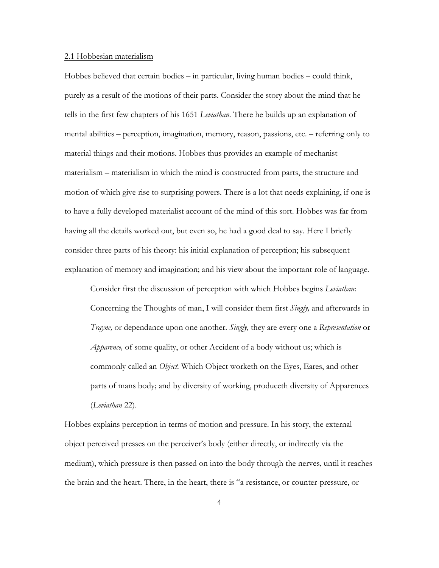### 2.1 Hobbesian materialism

Hobbes believed that certain bodies – in particular, living human bodies – could think, purely as a result of the motions of their parts. Consider the story about the mind that he tells in the first few chapters of his 1651 *Leviathan*. There he builds up an explanation of mental abilities – perception, imagination, memory, reason, passions, etc. – referring only to material things and their motions. Hobbes thus provides an example of mechanist materialism – materialism in which the mind is constructed from parts, the structure and motion of which give rise to surprising powers. There is a lot that needs explaining, if one is to have a fully developed materialist account of the mind of this sort. Hobbes was far from having all the details worked out, but even so, he had a good deal to say. Here I briefly consider three parts of his theory: his initial explanation of perception; his subsequent explanation of memory and imagination; and his view about the important role of language.

Consider first the discussion of perception with which Hobbes begins *Leviathan*: Concerning the Thoughts of man, I will consider them first *Singly,* and afterwards in *Trayne,* or dependance upon one another. *Singly,* they are every one a *Representation* or *Apparence,* of some quality, or other Accident of a body without us; which is commonly called an *Object.* Which Object worketh on the Eyes, Eares, and other parts of mans body; and by diversity of working, produceth diversity of Apparences (*Leviathan* 22).

Hobbes explains perception in terms of motion and pressure. In his story, the external object perceived presses on the perceiver's body (either directly, or indirectly via the medium), which pressure is then passed on into the body through the nerves, until it reaches the brain and the heart. There, in the heart, there is "a resistance, or counter-pressure, or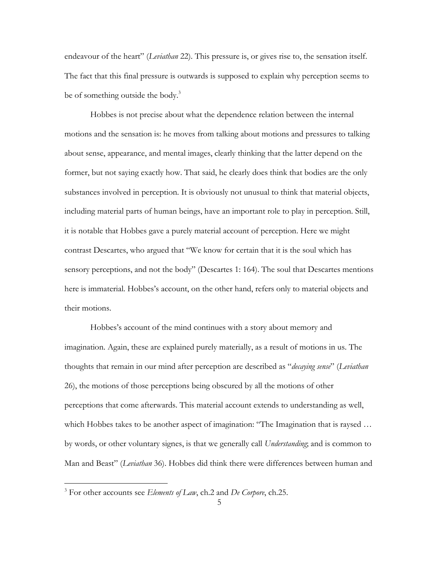endeavour of the heart" (*Leviathan* 22). This pressure is, or gives rise to, the sensation itself. The fact that this final pressure is outwards is supposed to explain why perception seems to be of something outside the body.<sup>3</sup>

Hobbes is not precise about what the dependence relation between the internal motions and the sensation is: he moves from talking about motions and pressures to talking about sense, appearance, and mental images, clearly thinking that the latter depend on the former, but not saying exactly how. That said, he clearly does think that bodies are the only substances involved in perception. It is obviously not unusual to think that material objects, including material parts of human beings, have an important role to play in perception. Still, it is notable that Hobbes gave a purely material account of perception. Here we might contrast Descartes, who argued that "We know for certain that it is the soul which has sensory perceptions, and not the body" (Descartes 1: 164). The soul that Descartes mentions here is immaterial. Hobbes's account, on the other hand, refers only to material objects and their motions.

Hobbes's account of the mind continues with a story about memory and imagination. Again, these are explained purely materially, as a result of motions in us. The thoughts that remain in our mind after perception are described as "*decaying sense*" (*Leviathan* 26), the motions of those perceptions being obscured by all the motions of other perceptions that come afterwards. This material account extends to understanding as well, which Hobbes takes to be another aspect of imagination: "The Imagination that is raysed ... by words, or other voluntary signes, is that we generally call *Understanding*; and is common to Man and Beast" (*Leviathan* 36). Hobbes did think there were differences between human and

 <sup>3</sup> For other accounts see *Elements of Law*, ch.2 and *De Corpore*, ch.25.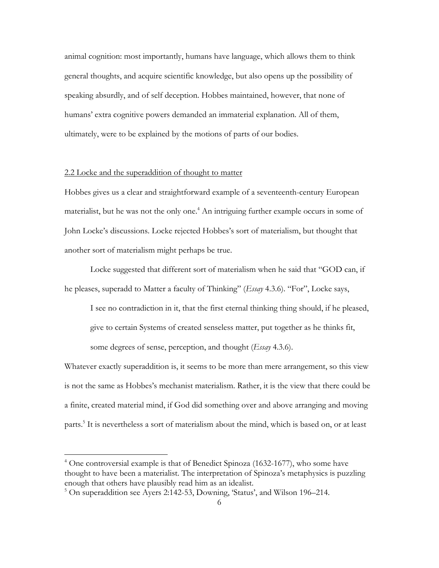animal cognition: most importantly, humans have language, which allows them to think general thoughts, and acquire scientific knowledge, but also opens up the possibility of speaking absurdly, and of self deception. Hobbes maintained, however, that none of humans' extra cognitive powers demanded an immaterial explanation. All of them, ultimately, were to be explained by the motions of parts of our bodies.

# 2.2 Locke and the superaddition of thought to matter

Hobbes gives us a clear and straightforward example of a seventeenth-century European materialist, but he was not the only one.<sup>4</sup> An intriguing further example occurs in some of John Locke's discussions. Locke rejected Hobbes's sort of materialism, but thought that another sort of materialism might perhaps be true.

Locke suggested that different sort of materialism when he said that "GOD can, if he pleases, superadd to Matter a faculty of Thinking" (*Essay* 4.3.6). "For", Locke says,

I see no contradiction in it, that the first eternal thinking thing should, if he pleased, give to certain Systems of created senseless matter, put together as he thinks fit, some degrees of sense, perception, and thought (*Essay* 4.3.6).

Whatever exactly superaddition is, it seems to be more than mere arrangement, so this view is not the same as Hobbes's mechanist materialism. Rather, it is the view that there could be a finite, created material mind, if God did something over and above arranging and moving parts. <sup>5</sup> It is nevertheless a sort of materialism about the mind, which is based on, or at least

<sup>&</sup>lt;sup>4</sup> One controversial example is that of Benedict Spinoza (1632-1677), who some have thought to have been a materialist. The interpretation of Spinoza's metaphysics is puzzling enough that others have plausibly read him as an idealist.

<sup>5</sup> On superaddition see Ayers 2:142-53, Downing, 'Status', and Wilson 196–214.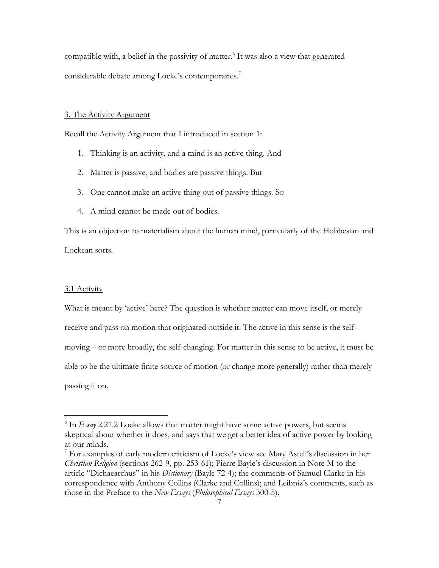compatible with, a belief in the passivity of matter.<sup>6</sup> It was also a view that generated considerable debate among Locke's contemporaries.<sup>7</sup>

### 3. The Activity Argument

Recall the Activity Argument that I introduced in section 1:

- 1. Thinking is an activity, and a mind is an active thing. And
- 2. Matter is passive, and bodies are passive things. But
- 3. One cannot make an active thing out of passive things. So
- 4. A mind cannot be made out of bodies.

This is an objection to materialism about the human mind, particularly of the Hobbesian and Lockean sorts.

### 3.1 Activity

What is meant by 'active' here? The question is whether matter can move itself, or merely receive and pass on motion that originated outside it. The active in this sense is the selfmoving – or more broadly, the self-changing. For matter in this sense to be active, it must be able to be the ultimate finite source of motion (or change more generally) rather than merely passing it on.

 <sup>6</sup> In *Essay* 2.21.2 Locke allows that matter might have some active powers, but seems skeptical about whether it does, and says that we get a better idea of active power by looking at our minds.

 $<sup>7</sup>$  For examples of early modern criticism of Locke's view see Mary Astell's discussion in her</sup> *Christian Religion* (sections 262-9, pp. 253-61); Pierre Bayle's discussion in Note M to the article "Dichaearchus" in his *Dictionary* (Bayle 72-4); the comments of Samuel Clarke in his correspondence with Anthony Collins (Clarke and Collins); and Leibniz's comments, such as those in the Preface to the *New Essays* (*Philosophical Essays* 300-5).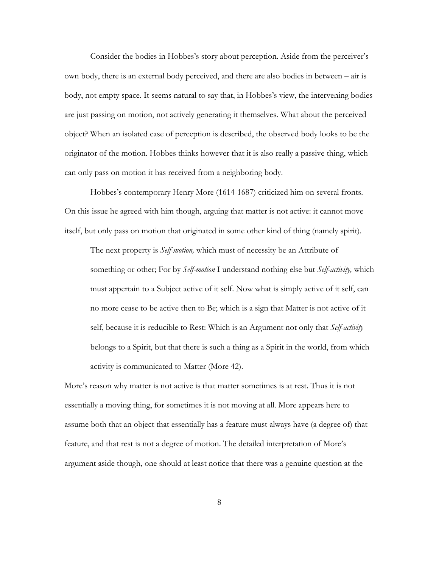Consider the bodies in Hobbes's story about perception. Aside from the perceiver's own body, there is an external body perceived, and there are also bodies in between – air is body, not empty space. It seems natural to say that, in Hobbes's view, the intervening bodies are just passing on motion, not actively generating it themselves. What about the perceived object? When an isolated case of perception is described, the observed body looks to be the originator of the motion. Hobbes thinks however that it is also really a passive thing, which can only pass on motion it has received from a neighboring body.

Hobbes's contemporary Henry More (1614-1687) criticized him on several fronts. On this issue he agreed with him though, arguing that matter is not active: it cannot move itself, but only pass on motion that originated in some other kind of thing (namely spirit).

The next property is *Self-motion,* which must of necessity be an Attribute of something or other; For by *Self-motion* I understand nothing else but *Self-activity,* which must appertain to a Subject active of it self. Now what is simply active of it self, can no more cease to be active then to Be; which is a sign that Matter is not active of it self, because it is reducible to Rest: Which is an Argument not only that *Self-activity* belongs to a Spirit, but that there is such a thing as a Spirit in the world, from which activity is communicated to Matter (More 42).

More's reason why matter is not active is that matter sometimes is at rest. Thus it is not essentially a moving thing, for sometimes it is not moving at all. More appears here to assume both that an object that essentially has a feature must always have (a degree of) that feature, and that rest is not a degree of motion. The detailed interpretation of More's argument aside though, one should at least notice that there was a genuine question at the

8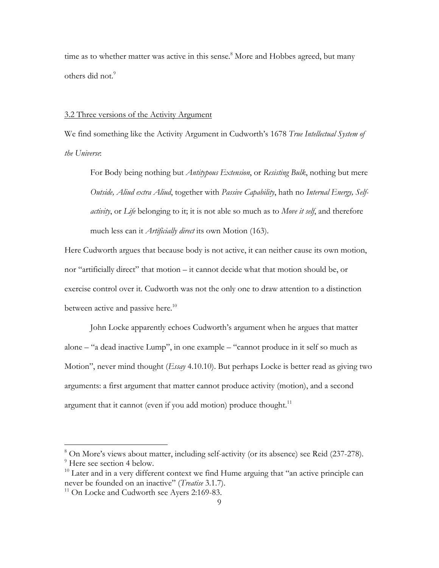time as to whether matter was active in this sense.<sup>8</sup> More and Hobbes agreed, but many others did not.<sup>9</sup>

# 3.2 Three versions of the Activity Argument

We find something like the Activity Argument in Cudworth's 1678 *True Intellectual System of the Universe*:

For Body being nothing but *Antitypous Extension*, or *Resisting Bulk*, nothing but mere *Outside, Aliud extra Aliud*, together with *Passive Capability*, hath no *Internal Energy, Selfactivity*, or *Life* belonging to it; it is not able so much as to *Move it self*, and therefore much less can it *Artificially direct* its own Motion (163).

Here Cudworth argues that because body is not active, it can neither cause its own motion, nor "artificially direct" that motion – it cannot decide what that motion should be, or exercise control over it. Cudworth was not the only one to draw attention to a distinction between active and passive here.<sup>10</sup>

John Locke apparently echoes Cudworth's argument when he argues that matter alone – "a dead inactive Lump", in one example – "cannot produce in it self so much as Motion", never mind thought (*Essay* 4.10.10). But perhaps Locke is better read as giving two arguments: a first argument that matter cannot produce activity (motion), and a second argument that it cannot (even if you add motion) produce thought. $11$ 

 <sup>8</sup> On More's views about matter, including self-activity (or its absence) see Reid (237-278). <sup>9</sup> Here see section 4 below.

 $10$  Later and in a very different context we find Hume arguing that "an active principle can never be founded on an inactive" (*Treatise* 3.1.7).

 $11$  On Locke and Cudworth see Ayers 2:169-83.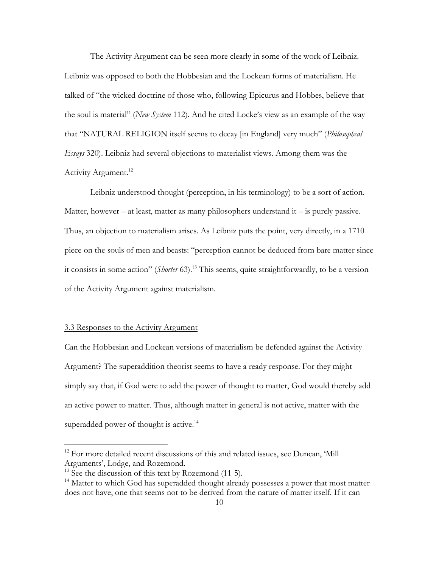The Activity Argument can be seen more clearly in some of the work of Leibniz. Leibniz was opposed to both the Hobbesian and the Lockean forms of materialism. He talked of "the wicked doctrine of those who, following Epicurus and Hobbes, believe that the soul is material" (*New System* 112). And he cited Locke's view as an example of the way that "NATURAL RELIGION itself seems to decay [in England] very much" (*Philosophcal Essays* 320). Leibniz had several objections to materialist views. Among them was the Activity Argument.<sup>12</sup>

Leibniz understood thought (perception, in his terminology) to be a sort of action. Matter, however – at least, matter as many philosophers understand it – is purely passive. Thus, an objection to materialism arises. As Leibniz puts the point, very directly, in a 1710 piece on the souls of men and beasts: "perception cannot be deduced from bare matter since it consists in some action" (*Shorter* 63).<sup>13</sup> This seems, quite straightforwardly, to be a version of the Activity Argument against materialism.

# 3.3 Responses to the Activity Argument

Can the Hobbesian and Lockean versions of materialism be defended against the Activity Argument? The superaddition theorist seems to have a ready response. For they might simply say that, if God were to add the power of thought to matter, God would thereby add an active power to matter. Thus, although matter in general is not active, matter with the superadded power of thought is active. $14$ 

<sup>&</sup>lt;sup>12</sup> For more detailed recent discussions of this and related issues, see Duncan, 'Mill Arguments', Lodge, and Rozemond.

 $13$  See the discussion of this text by Rozemond (11-5).

<sup>&</sup>lt;sup>14</sup> Matter to which God has superadded thought already possesses a power that most matter does not have, one that seems not to be derived from the nature of matter itself. If it can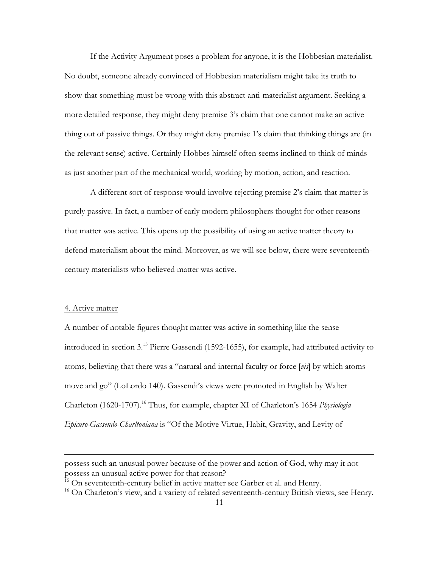If the Activity Argument poses a problem for anyone, it is the Hobbesian materialist. No doubt, someone already convinced of Hobbesian materialism might take its truth to show that something must be wrong with this abstract anti-materialist argument. Seeking a more detailed response, they might deny premise 3's claim that one cannot make an active thing out of passive things. Or they might deny premise 1's claim that thinking things are (in the relevant sense) active. Certainly Hobbes himself often seems inclined to think of minds as just another part of the mechanical world, working by motion, action, and reaction.

A different sort of response would involve rejecting premise 2's claim that matter is purely passive. In fact, a number of early modern philosophers thought for other reasons that matter was active. This opens up the possibility of using an active matter theory to defend materialism about the mind. Moreover, as we will see below, there were seventeenthcentury materialists who believed matter was active.

# 4. Active matter

 $\overline{a}$ 

A number of notable figures thought matter was active in something like the sense introduced in section 3.15 Pierre Gassendi (1592-1655), for example, had attributed activity to atoms, believing that there was a "natural and internal faculty or force [*vis*] by which atoms move and go" (LoLordo 140). Gassendi's views were promoted in English by Walter Charleton (1620-1707).16 Thus, for example, chapter XI of Charleton's 1654 *Physiologia Epicuro-Gassendo-Charltoniana* is "Of the Motive Virtue, Habit, Gravity, and Levity of

possess such an unusual power because of the power and action of God, why may it not possess an unusual active power for that reason?

 $15$  On seventeenth-century belief in active matter see Garber et al. and Henry.

<sup>&</sup>lt;sup>16</sup> On Charleton's view, and a variety of related seventeenth-century British views, see Henry.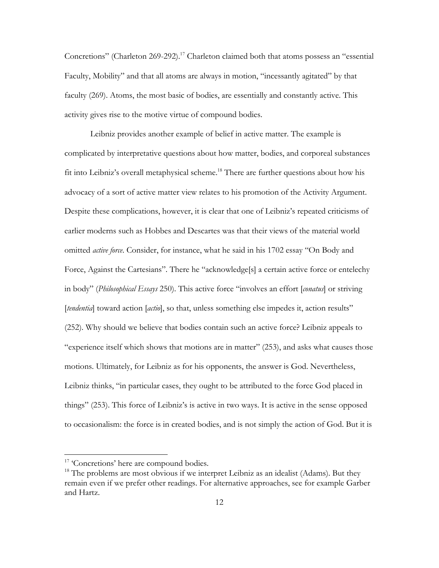Concretions" (Charleton 269-292).<sup>17</sup> Charleton claimed both that atoms possess an "essential" Faculty, Mobility" and that all atoms are always in motion, "incessantly agitated" by that faculty (269). Atoms, the most basic of bodies, are essentially and constantly active. This activity gives rise to the motive virtue of compound bodies.

Leibniz provides another example of belief in active matter. The example is complicated by interpretative questions about how matter, bodies, and corporeal substances fit into Leibniz's overall metaphysical scheme.<sup>18</sup> There are further questions about how his advocacy of a sort of active matter view relates to his promotion of the Activity Argument. Despite these complications, however, it is clear that one of Leibniz's repeated criticisms of earlier moderns such as Hobbes and Descartes was that their views of the material world omitted *active force*. Consider, for instance, what he said in his 1702 essay "On Body and Force, Against the Cartesians". There he "acknowledge[s] a certain active force or entelechy in body" (*Philosophical Essays* 250). This active force "involves an effort [*conatus*] or striving [*tendentia*] toward action [*actio*], so that, unless something else impedes it, action results" (252). Why should we believe that bodies contain such an active force? Leibniz appeals to "experience itself which shows that motions are in matter" (253), and asks what causes those motions. Ultimately, for Leibniz as for his opponents, the answer is God. Nevertheless, Leibniz thinks, "in particular cases, they ought to be attributed to the force God placed in things" (253). This force of Leibniz's is active in two ways. It is active in the sense opposed to occasionalism: the force is in created bodies, and is not simply the action of God. But it is

<sup>&</sup>lt;sup>17</sup> 'Concretions' here are compound bodies.

 $18$  The problems are most obvious if we interpret Leibniz as an idealist (Adams). But they remain even if we prefer other readings. For alternative approaches, see for example Garber and Hartz.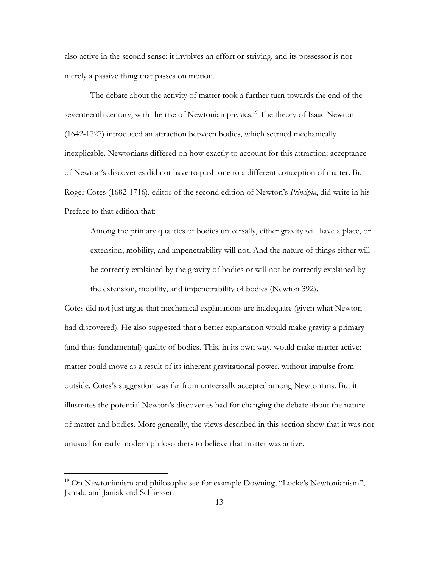also active in the second sense: it involves an effort or striving, and its possessor is not merely a passive thing that passes on motion.

The debate about the activity of matter took a further turn towards the end of the seventeenth century, with the rise of Newtonian physics.<sup>19</sup> The theory of Isaac Newton (1642-1727) introduced an attraction between bodies, which seemed mechanically inexplicable. Newtonians differed on how exactly to account for this attraction: acceptance of Newton's discoveries did not have to push one to a different conception of matter. But Roger Cotes (1682-1716), editor of the second edition of Newton's *Principia*, did write in his Preface to that edition that:

Among the primary qualities of bodies universally, either gravity will have a place, or extension, mobility, and impenetrability will not. And the nature of things either will be correctly explained by the gravity of bodies or will not be correctly explained by the extension, mobility, and impenetrability of bodies (Newton 392).

Cotes did not just argue that mechanical explanations are inadequate (given what Newton had discovered). He also suggested that a better explanation would make gravity a primary (and thus fundamental) quality of bodies. This, in its own way, would make matter active: matter could move as a result of its inherent gravitational power, without impulse from outside. Cotes's suggestion was far from universally accepted among Newtonians. But it illustrates the potential Newton's discoveries had for changing the debate about the nature of matter and bodies. More generally, the views described in this section show that it was not unusual for early modern philosophers to believe that matter was active.

<sup>&</sup>lt;sup>19</sup> On Newtonianism and philosophy see for example Downing, "Locke's Newtonianism", Janiak, and Janiak and Schliesser.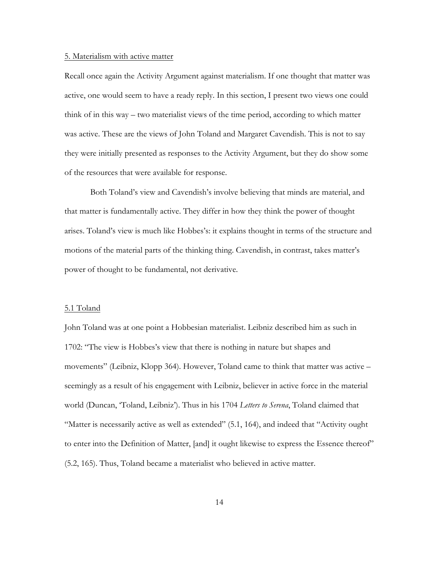### 5. Materialism with active matter

Recall once again the Activity Argument against materialism. If one thought that matter was active, one would seem to have a ready reply. In this section, I present two views one could think of in this way – two materialist views of the time period, according to which matter was active. These are the views of John Toland and Margaret Cavendish. This is not to say they were initially presented as responses to the Activity Argument, but they do show some of the resources that were available for response.

Both Toland's view and Cavendish's involve believing that minds are material, and that matter is fundamentally active. They differ in how they think the power of thought arises. Toland's view is much like Hobbes's: it explains thought in terms of the structure and motions of the material parts of the thinking thing. Cavendish, in contrast, takes matter's power of thought to be fundamental, not derivative.

### 5.1 Toland

John Toland was at one point a Hobbesian materialist. Leibniz described him as such in 1702: "The view is Hobbes's view that there is nothing in nature but shapes and movements" (Leibniz, Klopp 364). However, Toland came to think that matter was active – seemingly as a result of his engagement with Leibniz, believer in active force in the material world (Duncan, 'Toland, Leibniz'). Thus in his 1704 *Letters to Serena*, Toland claimed that "Matter is necessarily active as well as extended" (5.1, 164), and indeed that "Activity ought to enter into the Definition of Matter, [and] it ought likewise to express the Essence thereof" (5.2, 165). Thus, Toland became a materialist who believed in active matter.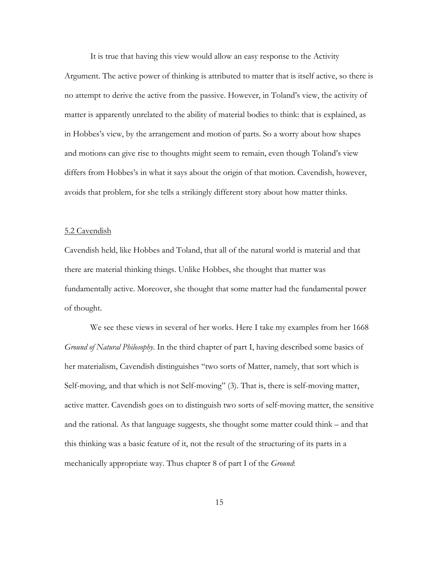It is true that having this view would allow an easy response to the Activity

Argument. The active power of thinking is attributed to matter that is itself active, so there is no attempt to derive the active from the passive. However, in Toland's view, the activity of matter is apparently unrelated to the ability of material bodies to think: that is explained, as in Hobbes's view, by the arrangement and motion of parts. So a worry about how shapes and motions can give rise to thoughts might seem to remain, even though Toland's view differs from Hobbes's in what it says about the origin of that motion. Cavendish, however, avoids that problem, for she tells a strikingly different story about how matter thinks.

### 5.2 Cavendish

Cavendish held, like Hobbes and Toland, that all of the natural world is material and that there are material thinking things. Unlike Hobbes, she thought that matter was fundamentally active. Moreover, she thought that some matter had the fundamental power of thought.

We see these views in several of her works. Here I take my examples from her 1668 *Ground of Natural Philosophy*. In the third chapter of part I, having described some basics of her materialism, Cavendish distinguishes "two sorts of Matter, namely, that sort which is Self-moving, and that which is not Self-moving" (3). That is, there is self-moving matter, active matter. Cavendish goes on to distinguish two sorts of self-moving matter, the sensitive and the rational. As that language suggests, she thought some matter could think – and that this thinking was a basic feature of it, not the result of the structuring of its parts in a mechanically appropriate way. Thus chapter 8 of part I of the *Ground*:

15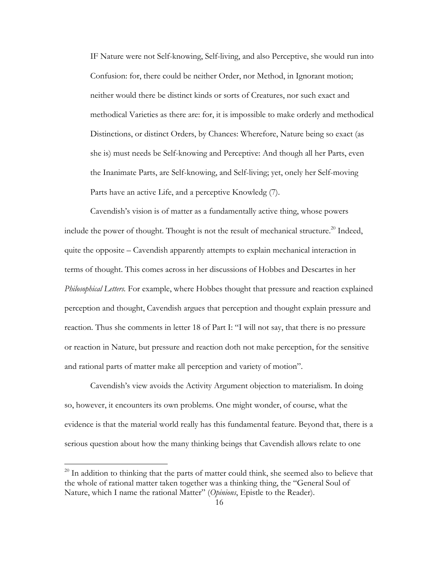IF Nature were not Self-knowing, Self-living, and also Perceptive, she would run into Confusion: for, there could be neither Order, nor Method, in Ignorant motion; neither would there be distinct kinds or sorts of Creatures, nor such exact and methodical Varieties as there are: for, it is impossible to make orderly and methodical Distinctions, or distinct Orders, by Chances: Wherefore, Nature being so exact (as she is) must needs be Self-knowing and Perceptive: And though all her Parts, even the Inanimate Parts, are Self-knowing, and Self-living; yet, onely her Self-moving Parts have an active Life, and a perceptive Knowledg (7).

Cavendish's vision is of matter as a fundamentally active thing, whose powers include the power of thought. Thought is not the result of mechanical structure.<sup>20</sup> Indeed, quite the opposite – Cavendish apparently attempts to explain mechanical interaction in terms of thought. This comes across in her discussions of Hobbes and Descartes in her *Philosophical Letters.* For example, where Hobbes thought that pressure and reaction explained perception and thought, Cavendish argues that perception and thought explain pressure and reaction. Thus she comments in letter 18 of Part I: "I will not say, that there is no pressure or reaction in Nature, but pressure and reaction doth not make perception, for the sensitive and rational parts of matter make all perception and variety of motion".

Cavendish's view avoids the Activity Argument objection to materialism. In doing so, however, it encounters its own problems. One might wonder, of course, what the evidence is that the material world really has this fundamental feature. Beyond that, there is a serious question about how the many thinking beings that Cavendish allows relate to one

 $20$  In addition to thinking that the parts of matter could think, she seemed also to believe that the whole of rational matter taken together was a thinking thing, the "General Soul of Nature, which I name the rational Matter" (*Opinions*, Epistle to the Reader).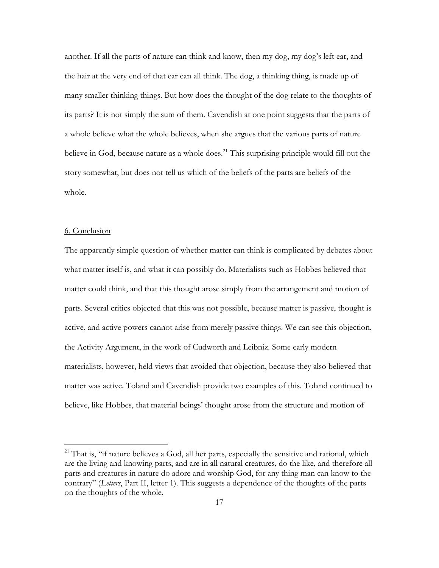another. If all the parts of nature can think and know, then my dog, my dog's left ear, and the hair at the very end of that ear can all think. The dog, a thinking thing, is made up of many smaller thinking things. But how does the thought of the dog relate to the thoughts of its parts? It is not simply the sum of them. Cavendish at one point suggests that the parts of a whole believe what the whole believes, when she argues that the various parts of nature believe in God, because nature as a whole does.<sup>21</sup> This surprising principle would fill out the story somewhat, but does not tell us which of the beliefs of the parts are beliefs of the whole.

# 6. Conclusion

The apparently simple question of whether matter can think is complicated by debates about what matter itself is, and what it can possibly do. Materialists such as Hobbes believed that matter could think, and that this thought arose simply from the arrangement and motion of parts. Several critics objected that this was not possible, because matter is passive, thought is active, and active powers cannot arise from merely passive things. We can see this objection, the Activity Argument, in the work of Cudworth and Leibniz. Some early modern materialists, however, held views that avoided that objection, because they also believed that matter was active. Toland and Cavendish provide two examples of this. Toland continued to believe, like Hobbes, that material beings' thought arose from the structure and motion of

<sup>&</sup>lt;sup>21</sup> That is, "if nature believes a God, all her parts, especially the sensitive and rational, which are the living and knowing parts, and are in all natural creatures, do the like, and therefore all parts and creatures in nature do adore and worship God, for any thing man can know to the contrary" (*Letters*, Part II, letter 1). This suggests a dependence of the thoughts of the parts on the thoughts of the whole.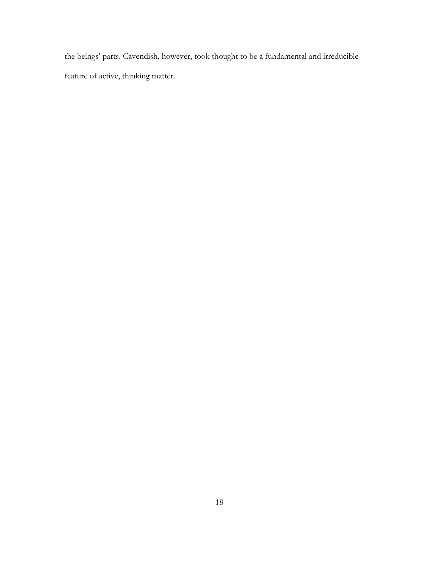the beings' parts. Cavendish, however, took thought to be a fundamental and irreducible feature of active, thinking matter.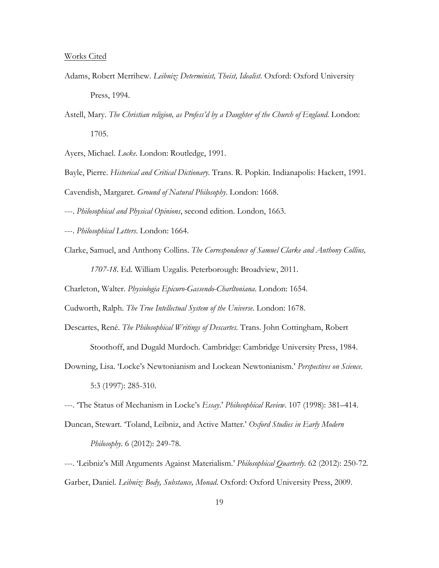### Works Cited

- Adams, Robert Merrihew. *Leibniz: Determinist, Theist, Idealist*. Oxford: Oxford University Press, 1994.
- Astell, Mary. *The Christian religion, as Profess'd by a Daughter of the Church of England*. London: 1705.

Ayers, Michael. *Locke*. London: Routledge, 1991.

Bayle, Pierre. *Historical and Critical Dictionary*. Trans. R. Popkin. Indianapolis: Hackett, 1991. Cavendish, Margaret. *Ground of Natural Philosophy*. London: 1668.

---. *Philosophical and Physical Opinions*, second edition. London, 1663.

---. *Philosophical Letters*. London: 1664.

Clarke, Samuel, and Anthony Collins. *The Correspondence of Samuel Clarke and Anthony Collins, 1707-18*. Ed. William Uzgalis. Peterborough: Broadview, 2011.

Charleton, Walter. *Physiologia Epicuro-Gassendo-Charltoniana*. London: 1654.

Cudworth, Ralph. *The True Intellectual System of the Universe*. London: 1678.

Descartes, René. *The Philosophical Writings of Descartes*. Trans. John Cottingham, Robert

Stoothoff, and Dugald Murdoch. Cambridge: Cambridge University Press, 1984.

Downing, Lisa. 'Locke's Newtonianism and Lockean Newtonianism.' *Perspectives on Science*. 5:3 (1997): 285-310.

---. 'The Status of Mechanism in Locke's *Essay*.' *Philosophical Review*. 107 (1998): 381–414.

Duncan, Stewart. 'Toland, Leibniz, and Active Matter.' *Oxford Studies in Early Modern Philosophy*. 6 (2012): 249-78.

---. 'Leibniz's Mill Arguments Against Materialism.' *Philosophical Quarterly*. 62 (2012): 250-72. Garber, Daniel. *Leibniz: Body, Substance, Monad*. Oxford: Oxford University Press, 2009.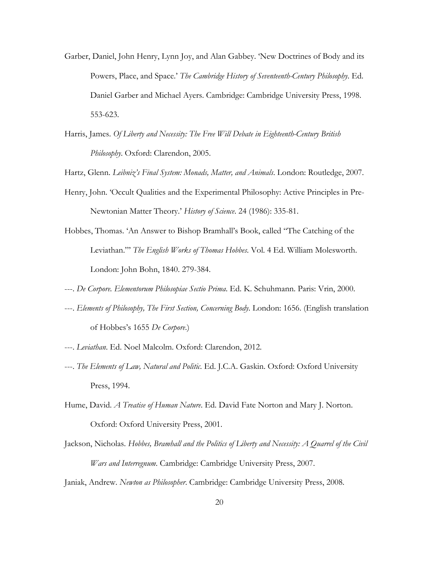- Garber, Daniel, John Henry, Lynn Joy, and Alan Gabbey. 'New Doctrines of Body and its Powers, Place, and Space.' *The Cambridge History of Seventeenth-Century Philosophy*. Ed. Daniel Garber and Michael Ayers. Cambridge: Cambridge University Press, 1998. 553-623.
- Harris, James. *Of Liberty and Necessity: The Free Will Debate in Eighteenth-Century British Philosophy*. Oxford: Clarendon, 2005.

Hartz, Glenn. *Leibniz's Final System: Monads, Matter, and Animals*. London: Routledge, 2007.

- Henry, John. 'Occult Qualities and the Experimental Philosophy: Active Principles in Pre-Newtonian Matter Theory.' *History of Science*. 24 (1986): 335-81.
- Hobbes, Thomas. 'An Answer to Bishop Bramhall's Book, called "The Catching of the Leviathan."' *The English Works of Thomas Hobbes*. Vol. 4 Ed. William Molesworth. London: John Bohn, 1840. 279-384.
- ---. *De Corpore. Elementorum Philosopiae Sectio Prima*. Ed. K. Schuhmann. Paris: Vrin, 2000.
- ---. *Elements of Philosophy, The First Section, Concerning Body*. London: 1656. (English translation of Hobbes's 1655 *De Corpore*.)
- ---. *Leviathan*. Ed. Noel Malcolm. Oxford: Clarendon, 2012.
- ---. *The Elements of Law, Natural and Politic*. Ed. J.C.A. Gaskin. Oxford: Oxford University Press, 1994.
- Hume, David. *A Treatise of Human Nature*. Ed. David Fate Norton and Mary J. Norton. Oxford: Oxford University Press, 2001.
- Jackson, Nicholas. *Hobbes, Bramhall and the Politics of Liberty and Necessity: A Quarrel of the Civil Wars and Interregnum*. Cambridge: Cambridge University Press, 2007.

Janiak, Andrew. *Newton as Philosopher*. Cambridge: Cambridge University Press, 2008.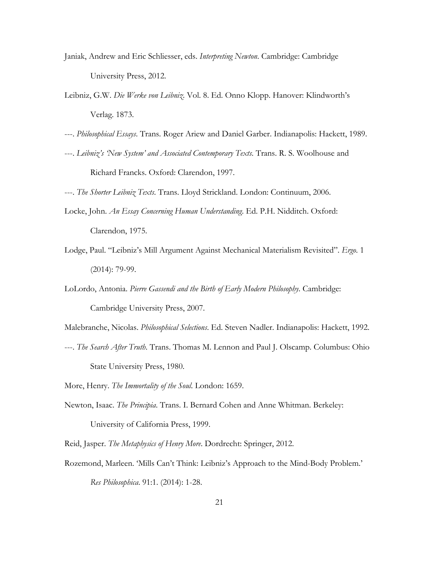- Janiak, Andrew and Eric Schliesser, eds. *Interpreting Newton*. Cambridge: Cambridge University Press, 2012.
- Leibniz, G.W. *Die Werke von Leibniz*. Vol. 8. Ed. Onno Klopp. Hanover: Klindworth's Verlag. 1873.
- ---. *Philosophical Essays*. Trans. Roger Ariew and Daniel Garber. Indianapolis: Hackett, 1989.
- ---. *Leibniz's 'New System' and Associated Contemporary Texts*. Trans. R. S. Woolhouse and Richard Francks. Oxford: Clarendon, 1997.
- ---. *The Shorter Leibniz Texts*. Trans. Lloyd Strickland. London: Continuum, 2006.
- Locke, John. *An Essay Concerning Human Understanding*. Ed. P.H. Nidditch. Oxford: Clarendon, 1975.
- Lodge, Paul. "Leibniz's Mill Argument Against Mechanical Materialism Revisited". *Ergo*. 1 (2014): 79-99.
- LoLordo, Antonia. *Pierre Gassendi and the Birth of Early Modern Philosophy*. Cambridge: Cambridge University Press, 2007.

Malebranche, Nicolas. *Philosophical Selections*. Ed. Steven Nadler. Indianapolis: Hackett, 1992.

- ---. *The Search After Truth*. Trans. Thomas M. Lennon and Paul J. Olscamp. Columbus: Ohio State University Press, 1980.
- More, Henry. *The Immortality of the Soul*. London: 1659.
- Newton, Isaac. *The Principia*. Trans. I. Bernard Cohen and Anne Whitman. Berkeley: University of California Press, 1999.

Reid, Jasper. *The Metaphysics of Henry More*. Dordrecht: Springer, 2012.

Rozemond, Marleen. 'Mills Can't Think: Leibniz's Approach to the Mind-Body Problem.' *Res Philosophica*. 91:1. (2014): 1-28.